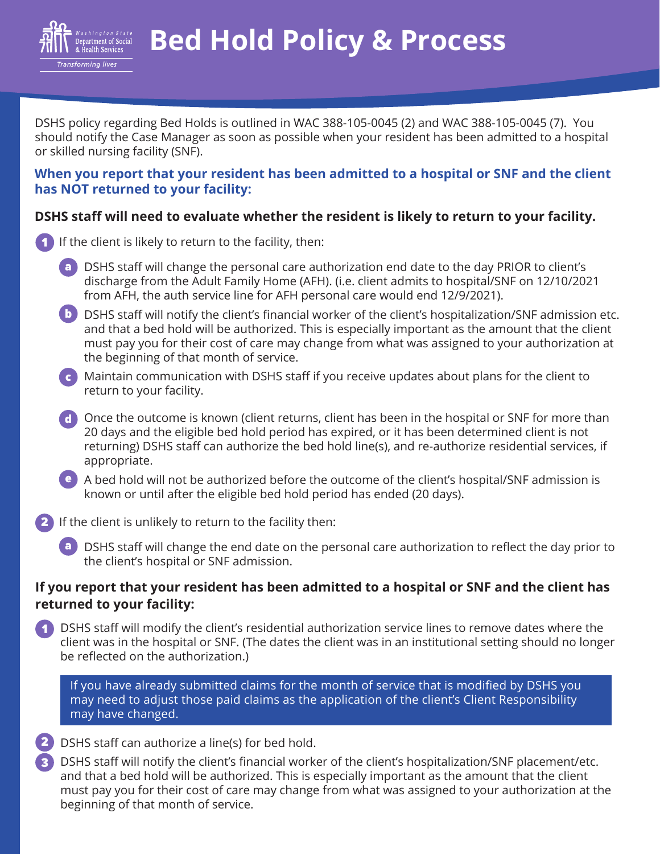

**Bed Hold Policy & Process**

DSHS policy regarding Bed Holds is outlined in WAC 388-105-0045 (2) and WAC 388-105-0045 (7). You should notify the Case Manager as soon as possible when your resident has been admitted to a hospital or skilled nursing facility (SNF).

## **When you report that your resident has been admitted to a hospital or SNF and the client has NOT returned to your facility:**

## **DSHS staff will need to evaluate whether the resident is likely to return to your facility.**

- If the client is likely to return to the facility, then: 1
	- a **DSHS staff will change the personal care authorization end date to the day PRIOR to client's** discharge from the Adult Family Home (AFH). (i.e. client admits to hospital/SNF on 12/10/2021 from AFH, the auth service line for AFH personal care would end 12/9/2021).
	- **b** DSHS staff will notify the client's financial worker of the client's hospitalization/SNF admission etc. and that a bed hold will be authorized. This is especially important as the amount that the client must pay you for their cost of care may change from what was assigned to your authorization at the beginning of that month of service.
	- Maintain communication with DSHS staff if you receive updates about plans for the client to c return to your facility.
	- Once the outcome is known (client returns, client has been in the hospital or SNF for more than d 20 days and the eligible bed hold period has expired, or it has been determined client is not returning) DSHS staff can authorize the bed hold line(s), and re-authorize residential services, if appropriate.
	- e A bed hold will not be authorized before the outcome of the client's hospital/SNF admission is known or until after the eligible bed hold period has ended (20 days).
- **2** If the client is unlikely to return to the facility then:
	- a DSHS staff will change the end date on the personal care authorization to reflect the day prior to the client's hospital or SNF admission.

## **If you report that your resident has been admitted to a hospital or SNF and the client has returned to your facility:**

DSHS staff will modify the client's residential authorization service lines to remove dates where the client was in the hospital or SNF. (The dates the client was in an institutional setting should no longer be reflected on the authorization.) 1

If you have already submitted claims for the month of service that is modified by DSHS you may need to adjust those paid claims as the application of the client's Client Responsibility may have changed.



3

DSHS staff will notify the client's financial worker of the client's hospitalization/SNF placement/etc. and that a bed hold will be authorized. This is especially important as the amount that the client must pay you for their cost of care may change from what was assigned to your authorization at the beginning of that month of service.